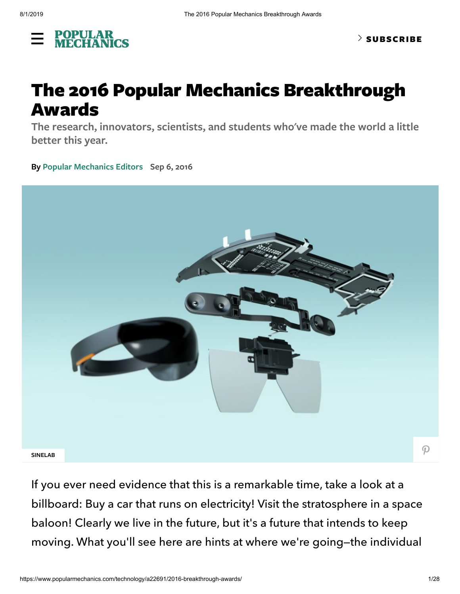

# The 2016 Popular Mechanics Breakthrough Awards

**The research, innovators, scientists, and students who've made the world a little better this year.**

**By Popular [Mechanics](https://www.popularmechanics.com/author/2813/popular-mechanics-editors/) Editors Sep 6, 2016**



If you ever need evidence that this is a remarkable time, take a look at a billboard: Buy a car that runs on electricity! Visit the stratosphere in a space baloon! Clearly we live in the future, but it's a future that intends to keep moving. What you'll see here are hints at where we're going—the individual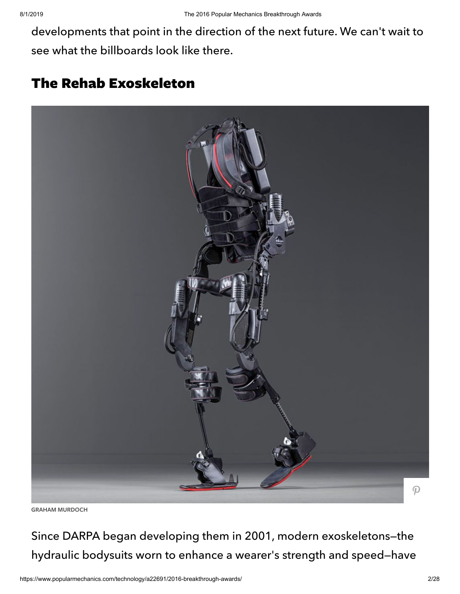developments that point in the direction of the next future. We can't wait to see what the billboards look like there.

# The Rehab Exoskeleton



**GRAHAM MURDOCH**

Since DARPA began developing them in 2001, modern exoskeletons—the hydraulic bodysuits worn to enhance a wearer's strength and speed—have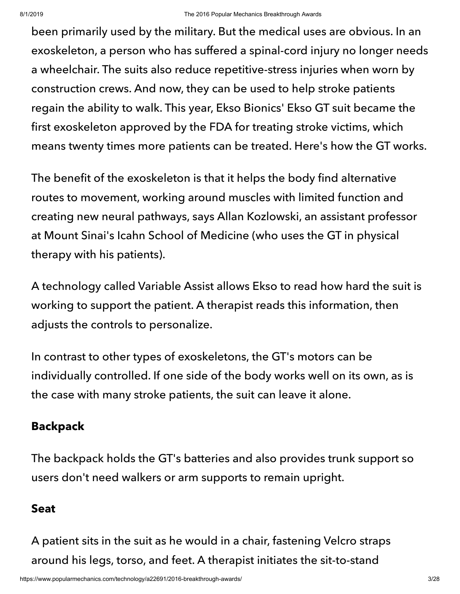been primarily used by the military. But the medical uses are obvious. In an exoskeleton, a person who has suffered a spinal-cord injury no longer needs a wheelchair. The suits also reduce repetitive-stress injuries when worn by construction crews. And now, they can be used to help stroke patients regain the ability to walk. This year, Ekso Bionics' Ekso GT suit became the first exoskeleton approved by the FDA for treating stroke victims, which means twenty times more patients can be treated. Here's how the GT works.

The benefit of the exoskeleton is that it helps the body find alternative routes to movement, working around muscles with limited function and creating new neural pathways, says Allan Kozlowski, an assistant professor at Mount Sinai's Icahn School of Medicine (who uses the GT in physical therapy with his patients).

A technology called Variable Assist allows Ekso to read how hard the suit is working to support the patient. A therapist reads this information, then adjusts the controls to personalize.

In contrast to other types of exoskeletons, the GT's motors can be individually controlled. If one side of the body works well on its own, as is the case with many stroke patients, the suit can leave it alone.

# **Backpack**

The backpack holds the GT's batteries and also provides trunk support so users don't need walkers or arm supports to remain upright.

### **Seat**

A patient sits in the suit as he would in a chair, fastening Velcro straps around his legs, torso, and feet. A therapist initiates the sit-to-stand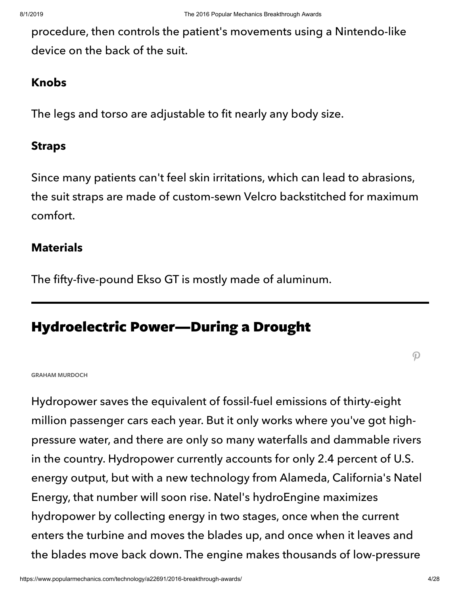procedure, then controls the patient's movements using a Nintendo-like device on the back of the suit.

#### **Knobs**

The legs and torso are adjustable to fit nearly any body size.

### **Straps**

Since many patients can't feel skin irritations, which can lead to abrasions, the suit straps are made of custom-sewn Velcro backstitched for maximum comfort.

### **Materials**

The fifty-five-pound Ekso GT is mostly made of aluminum.

# Hydroelectric Power—During a Drought

 $\boldsymbol{\mathcal{P}}$ 

#### **GRAHAM MURDOCH**

Hydropower saves the equivalent of fossil-fuel emissions of thirty-eight million passenger cars each year. But it only works where you've got highpressure water, and there are only so many waterfalls and dammable rivers in the country. Hydropower currently accounts for only 2.4 percent of U.S. energy output, but with a new technology from Alameda, California's Natel Energy, that number will soon rise. Natel's hydroEngine maximizes hydropower by collecting energy in two stages, once when the current enters the turbine and moves the blades up, and once when it leaves and the blades move back down. The engine makes thousands of low-pressure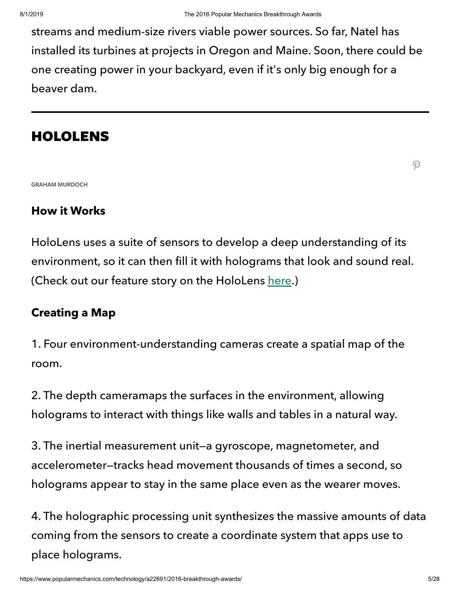streams and medium-size rivers viable power sources. So far, Natel has installed its turbines at projects in Oregon and Maine. Soon, there could be one creating power in your backyard, even if it's only big enough for a beaver dam.

# HOLOLENS

 $\boldsymbol{\mathcal{P}}$ 

**GRAHAM MURDOCH**

#### **How it Works**

HoloLens uses a suite of sensors to develop a deep understanding of its environment, so it can then fill it with holograms that look and sound real. (Check out our feature story on the HoloLens [here](https://www.popularmechanics.com/technology/a22384/hololens-ar-breakthrough-awards/).)

#### **Creating a Map**

1. Four environment-understanding cameras create a spatial map of the room.

2. The depth cameramaps the surfaces in the environment, allowing holograms to interact with things like walls and tables in a natural way.

3. The inertial measurement unit—a gyroscope, magnetometer, and accelerometer—tracks head movement thousands of times a second, so holograms appear to stay in the same place even as the wearer moves.

4. The holographic processing unit synthesizes the massive amounts of data coming from the sensors to create a coordinate system that apps use to place holograms.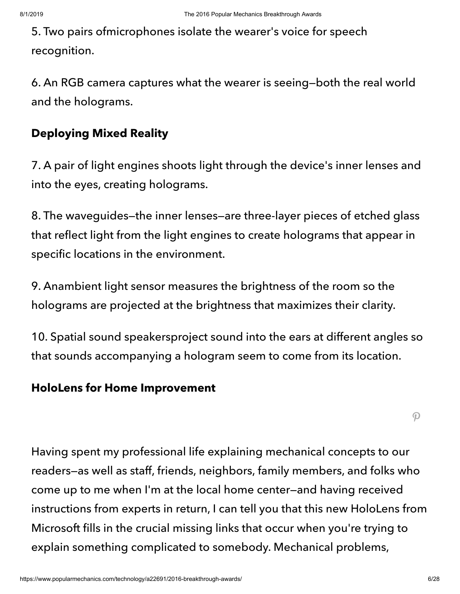5. Two pairs ofmicrophones isolate the wearer's voice for speech recognition.

6. An RGB camera captures what the wearer is seeing—both the real world and the holograms.

### **Deploying Mixed Reality**

7. A pair of light engines shoots light through the device's inner lenses and into the eyes, creating holograms.

8. The waveguides—the inner lenses—are three-layer pieces of etched glass that reflect light from the light engines to create holograms that appear in specific locations in the environment.

9. Anambient light sensor measures the brightness of the room so the holograms are projected at the brightness that maximizes their clarity.

10. Spatial sound speakersproject sound into the ears at different angles so that sounds accompanying a hologram seem to come from its location.

#### **HoloLens for Home Improvement**

 $\mathcal{P}$ 

Having spent my professional life explaining mechanical concepts to our readers—as well as staff, friends, neighbors, family members, and folks who come up to me when I'm at the local home center—and having received instructions from experts in return, I can tell you that this new HoloLens from Microsoft fills in the crucial missing links that occur when you're trying to explain something complicated to somebody. Mechanical problems,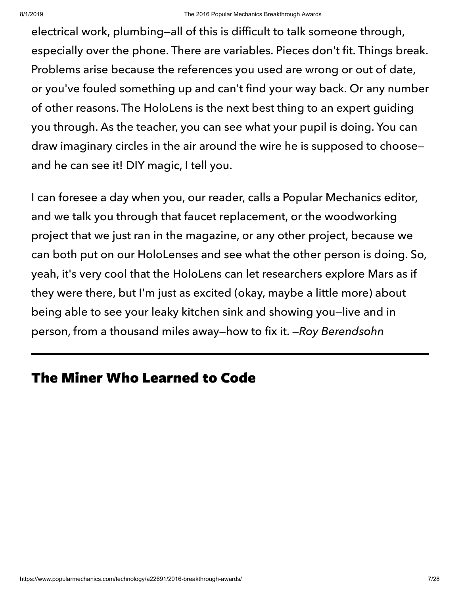electrical work, plumbing—all of this is difficult to talk someone through, especially over the phone. There are variables. Pieces don't fit. Things break. Problems arise because the references you used are wrong or out of date, or you've fouled something up and can't find your way back. Or any number of other reasons. The HoloLens is the next best thing to an expert guiding you through. As the teacher, you can see what your pupil is doing. You can draw imaginary circles in the air around the wire he is supposed to choose and he can see it! DIY magic, I tell you.

I can foresee a day when you, our reader, calls a Popular Mechanics editor, and we talk you through that faucet replacement, or the woodworking project that we just ran in the magazine, or any other project, because we can both put on our HoloLenses and see what the other person is doing. So, yeah, it's very cool that the HoloLens can let researchers explore Mars as if they were there, but I'm just as excited (okay, maybe a little more) about being able to see your leaky kitchen sink and showing you—live and in person, from a thousand miles away—how to fix it. —Roy Berendsohn

# The Miner Who Learned to Code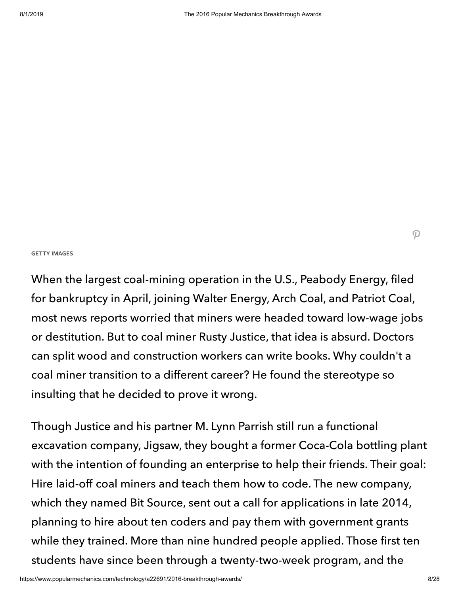#### **GETTY IMAGES**

When the largest coal-mining operation in the U.S., Peabody Energy, filed for bankruptcy in April, joining Walter Energy, Arch Coal, and Patriot Coal, most news reports worried that miners were headed toward low-wage jobs or destitution. But to coal miner Rusty Justice, that idea is absurd. Doctors can split wood and construction workers can write books. Why couldn't a coal miner transition to a different career? He found the stereotype so insulting that he decided to prove it wrong.

Though Justice and his partner M. Lynn Parrish still run a functional excavation company, Jigsaw, they bought a former Coca-Cola bottling plant with the intention of founding an enterprise to help their friends. Their goal: Hire laid-off coal miners and teach them how to code. The new company, which they named Bit Source, sent out a call for applications in late 2014, planning to hire about ten coders and pay them with government grants while they trained. More than nine hundred people applied. Those first ten students have since been through a twenty-two-week program, and the

 $\mathcal{P}$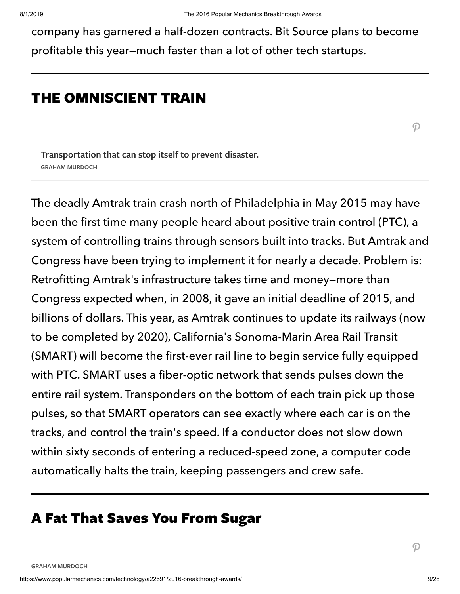company has garnered a half-dozen contracts. Bit Source plans to become profitable this year—much faster than a lot of other tech startups.

# THE OMNISCIENT TRAIN

 $\boldsymbol{\mathcal{P}}$ 

**Transportation that can stop itself to prevent disaster. GRAHAM MURDOCH**

The deadly Amtrak train crash north of Philadelphia in May 2015 may have been the first time many people heard about positive train control (PTC), a system of controlling trains through sensors built into tracks. But Amtrak and Congress have been trying to implement it for nearly a decade. Problem is: Retrofitting Amtrak's infrastructure takes time and money—more than Congress expected when, in 2008, it gave an initial deadline of 2015, and billions of dollars. This year, as Amtrak continues to update its railways (now to be completed by 2020), California's Sonoma-Marin Area Rail Transit (SMART) will become the first-ever rail line to begin service fully equipped with PTC. SMART uses a fiber-optic network that sends pulses down the entire rail system. Transponders on the bottom of each train pick up those pulses, so that SMART operators can see exactly where each car is on the tracks, and control the train's speed. If a conductor does not slow down within sixty seconds of entering a reduced-speed zone, a computer code automatically halts the train, keeping passengers and crew safe.

# A Fat That Saves You From Sugar

 $\boldsymbol{\mathcal{P}}$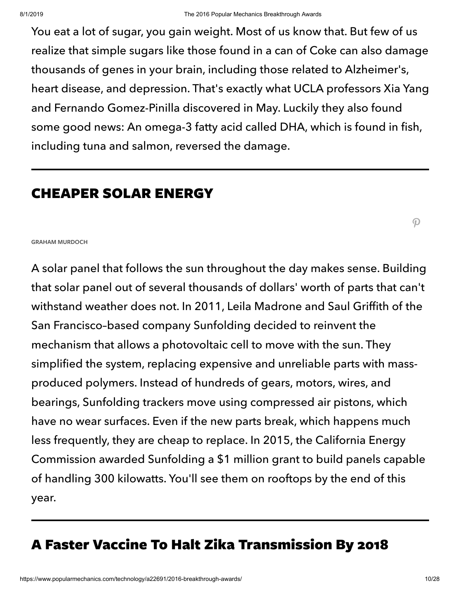You eat a lot of sugar, you gain weight. Most of us know that. But few of us realize that simple sugars like those found in a can of Coke can also damage thousands of genes in your brain, including those related to Alzheimer's, heart disease, and depression. That's exactly what UCLA professors Xia Yang and Fernando Gomez-Pinilla discovered in May. Luckily they also found some good news: An omega-3 fatty acid called DHA, which is found in fish, including tuna and salmon, reversed the damage.

# CHEAPER SOLAR ENERGY

 $\mathcal{P}$ 

#### **GRAHAM MURDOCH**

A solar panel that follows the sun throughout the day makes sense. Building that solar panel out of several thousands of dollars' worth of parts that can't withstand weather does not. In 2011, Leila Madrone and Saul Griffith of the San Francisco–based company Sunfolding decided to reinvent the mechanism that allows a photovoltaic cell to move with the sun. They simplified the system, replacing expensive and unreliable parts with massproduced polymers. Instead of hundreds of gears, motors, wires, and bearings, Sunfolding trackers move using compressed air pistons, which have no wear surfaces. Even if the new parts break, which happens much less frequently, they are cheap to replace. In 2015, the California Energy Commission awarded Sunfolding a \$1 million grant to build panels capable of handling 300 kilowatts. You'll see them on rooftops by the end of this year.

# A Faster Vaccine To Halt Zika Transmission By 2018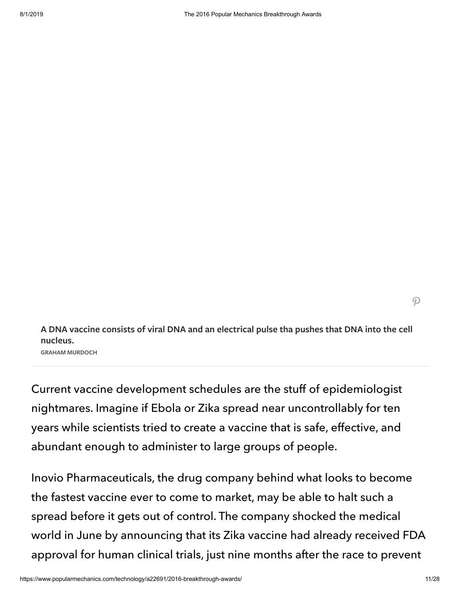$\mathcal{P}$ 

**A DNA vaccine consists of viral DNA and an electrical pulse tha pushes that DNA into the cell nucleus.**

**GRAHAM MURDOCH**

Current vaccine development schedules are the stuff of epidemiologist nightmares. Imagine if Ebola or Zika spread near uncontrollably for ten years while scientists tried to create a vaccine that is safe, effective, and abundant enough to administer to large groups of people.

Inovio Pharmaceuticals, the drug company behind what looks to become the fastest vaccine ever to come to market, may be able to halt such a spread before it gets out of control. The company shocked the medical world in June by announcing that its Zika vaccine had already received FDA approval for human clinical trials, just nine months after the race to prevent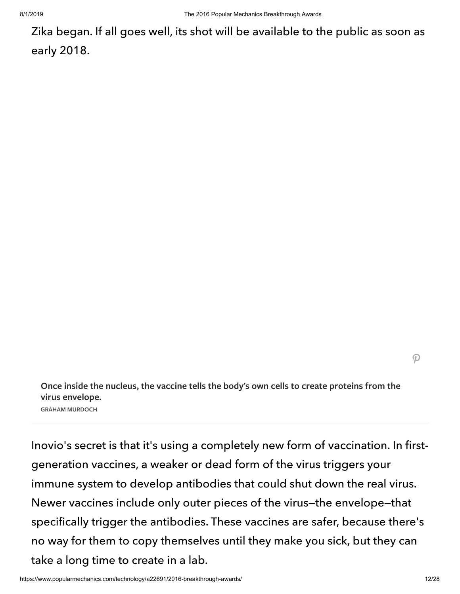Zika began. If all goes well, its shot will be available to the public as soon as early 2018.

**Once inside the nucleus, the vaccine tells the body's own cells to create proteins from the virus envelope. GRAHAM MURDOCH**

Inovio's secret is that it's using a completely new form of vaccination. In firstgeneration vaccines, a weaker or dead form of the virus triggers your immune system to develop antibodies that could shut down the real virus. Newer vaccines include only outer pieces of the virus—the envelope—that specifically trigger the antibodies. These vaccines are safer, because there's no way for them to copy themselves until they make you sick, but they can take a long time to create in a lab.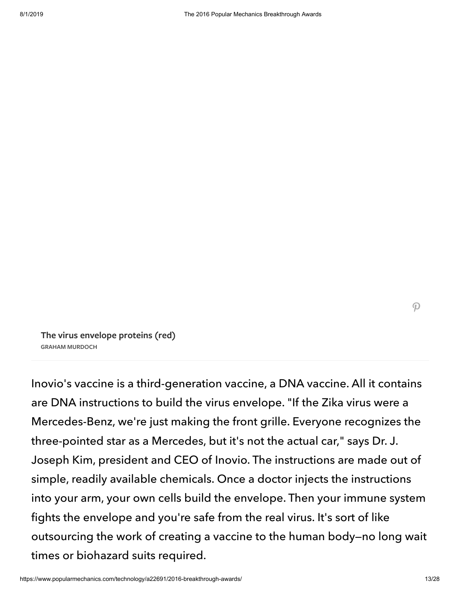**The virus envelope proteins (red) GRAHAM MURDOCH**

Inovio's vaccine is a third-generation vaccine, a DNA vaccine. All it contains are DNA instructions to build the virus envelope. "If the Zika virus were a Mercedes-Benz, we're just making the front grille. Everyone recognizes the three-pointed star as a Mercedes, but it's not the actual car," says Dr. J. Joseph Kim, president and CEO of Inovio. The instructions are made out of simple, readily available chemicals. Once a doctor injects the instructions into your arm, your own cells build the envelope. Then your immune system fights the envelope and you're safe from the real virus. It's sort of like outsourcing the work of creating a vaccine to the human body—no long wait times or biohazard suits required.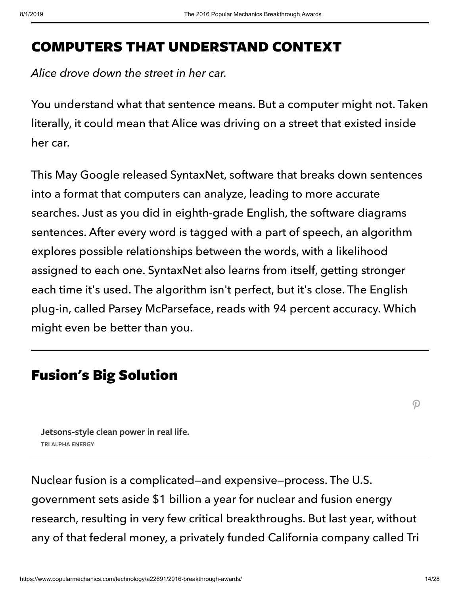# COMPUTERS THAT UNDERSTAND CONTEXT

Alice drove down the street in her car.

You understand what that sentence means. But a computer might not. Taken literally, it could mean that Alice was driving on a street that existed inside her car.

This May Google released SyntaxNet, software that breaks down sentences into a format that computers can analyze, leading to more accurate searches. Just as you did in eighth-grade English, the software diagrams sentences. After every word is tagged with a part of speech, an algorithm explores possible relationships between the words, with a likelihood assigned to each one. SyntaxNet also learns from itself, getting stronger each time it's used. The algorithm isn't perfect, but it's close. The English plug-in, called Parsey McParseface, reads with 94 percent accuracy. Which might even be better than you.

# Fusion's Big Solution

 $\boldsymbol{\mathcal{P}}$ 

**Jetsons-style clean power in real life. TRI ALPHA ENERGY**

Nuclear fusion is a complicated—and expensive—process. The U.S. government sets aside \$1 billion a year for nuclear and fusion energy research, resulting in very few critical breakthroughs. But last year, without any of that federal money, a privately funded California company called Tri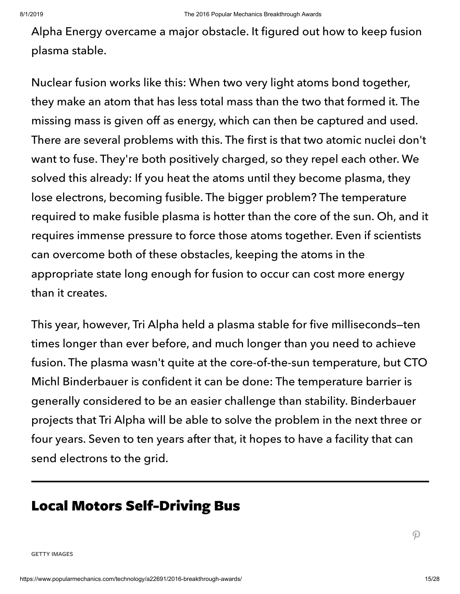Alpha Energy overcame a major obstacle. It figured out how to keep fusion plasma stable.

Nuclear fusion works like this: When two very light atoms bond together, they make an atom that has less total mass than the two that formed it. The missing mass is given off as energy, which can then be captured and used. There are several problems with this. The first is that two atomic nuclei don't want to fuse. They're both positively charged, so they repel each other. We solved this already: If you heat the atoms until they become plasma, they lose electrons, becoming fusible. The bigger problem? The temperature required to make fusible plasma is hotter than the core of the sun. Oh, and it requires immense pressure to force those atoms together. Even if scientists can overcome both of these obstacles, keeping the atoms in the appropriate state long enough for fusion to occur can cost more energy than it creates.

This year, however, Tri Alpha held a plasma stable for five milliseconds—ten times longer than ever before, and much longer than you need to achieve fusion. The plasma wasn't quite at the core-of-the-sun temperature, but CTO Michl Binderbauer is confident it can be done: The temperature barrier is generally considered to be an easier challenge than stability. Binderbauer projects that Tri Alpha will be able to solve the problem in the next three or four years. Seven to ten years after that, it hopes to have a facility that can send electrons to the grid.

# Local Motors Self-Driving Bus

**GETTY IMAGES**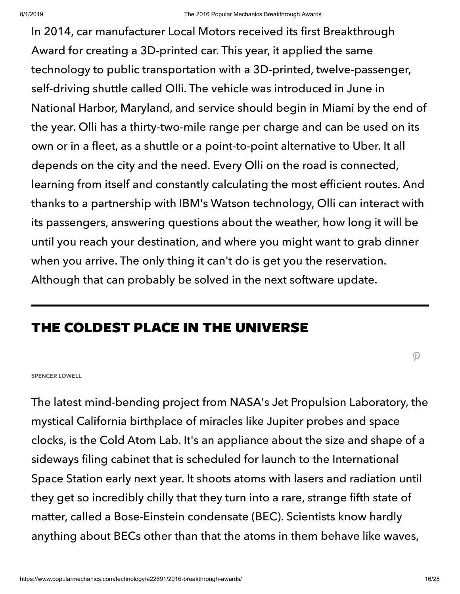In 2014, car manufacturer Local Motors received its first Breakthrough Award for creating a 3D-printed car. This year, it applied the same technology to public transportation with a 3D-printed, twelve-passenger, self-driving shuttle called Olli. The vehicle was introduced in June in National Harbor, Maryland, and service should begin in Miami by the end of the year. Olli has a thirty-two-mile range per charge and can be used on its own or in a fleet, as a shuttle or a point-to-point alternative to Uber. It all depends on the city and the need. Every Olli on the road is connected, learning from itself and constantly calculating the most efficient routes. And thanks to a partnership with IBM's Watson technology, Olli can interact with its passengers, answering questions about the weather, how long it will be until you reach your destination, and where you might want to grab dinner when you arrive. The only thing it can't do is get you the reservation. Although that can probably be solved in the next software update.

# THE COLDEST PLACE IN THE UNIVERSE

 $\boldsymbol{\mathcal{P}}$ 

#### **SPENCER LOWELL**

The latest mind-bending project from NASA's Jet Propulsion Laboratory, the mystical California birthplace of miracles like Jupiter probes and space clocks, is the Cold Atom Lab. It's an appliance about the size and shape of a sideways filing cabinet that is scheduled for launch to the International Space Station early next year. It shoots atoms with lasers and radiation until they get so incredibly chilly that they turn into a rare, strange fifth state of matter, called a Bose-Einstein condensate (BEC). Scientists know hardly anything about BECs other than that the atoms in them behave like waves,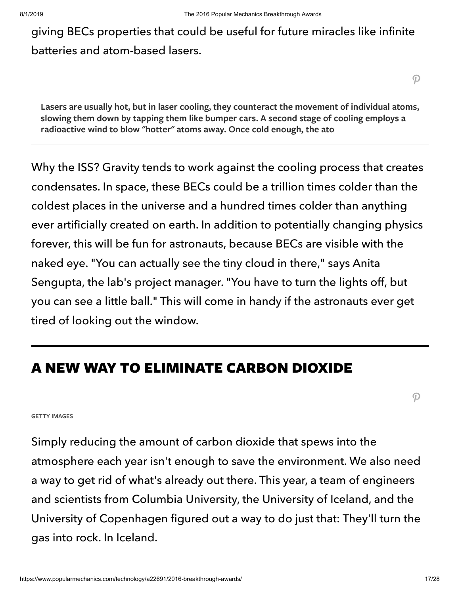giving BECs properties that could be useful for future miracles like infinite batteries and atom-based lasers.

 $\boldsymbol{\varphi}$ 

**Lasers are usually hot, but in laser cooling, they counteract the movement of individual atoms, slowing them down by tapping them like bumper cars. A second stage of cooling employs a radioactive wind to blow "hotter" atoms away. Once cold enough, the ato**

Why the ISS? Gravity tends to work against the cooling process that creates condensates. In space, these BECs could be a trillion times colder than the coldest places in the universe and a hundred times colder than anything ever artificially created on earth. In addition to potentially changing physics forever, this will be fun for astronauts, because BECs are visible with the naked eye. "You can actually see the tiny cloud in there," says Anita Sengupta, the lab's project manager. "You have to turn the lights off, but you can see a little ball." This will come in handy if the astronauts ever get tired of looking out the window.

# A NEW WAY TO ELIMINATE CARBON DIOXIDE

 $\boldsymbol{\mathcal{P}}$ 

#### **GETTY IMAGES**

Simply reducing the amount of carbon dioxide that spews into the atmosphere each year isn't enough to save the environment. We also need a way to get rid of what's already out there. This year, a team of engineers and scientists from Columbia University, the University of Iceland, and the University of Copenhagen figured out a way to do just that: They'll turn the gas into rock. In Iceland.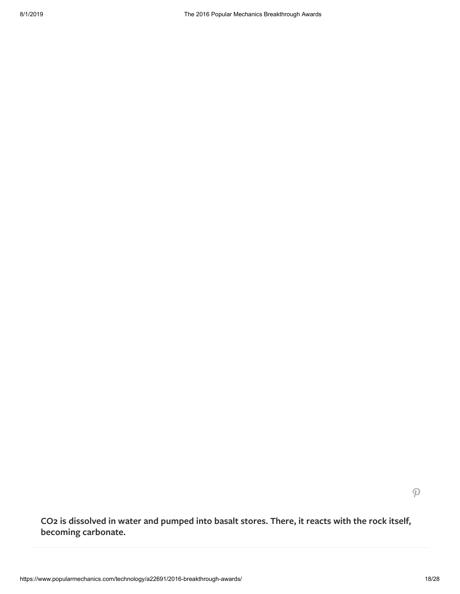$\mathcal{P}$ 

**CO2 is dissolved in water and pumped into basalt stores. There, it reacts with the rock itself, becoming carbonate.**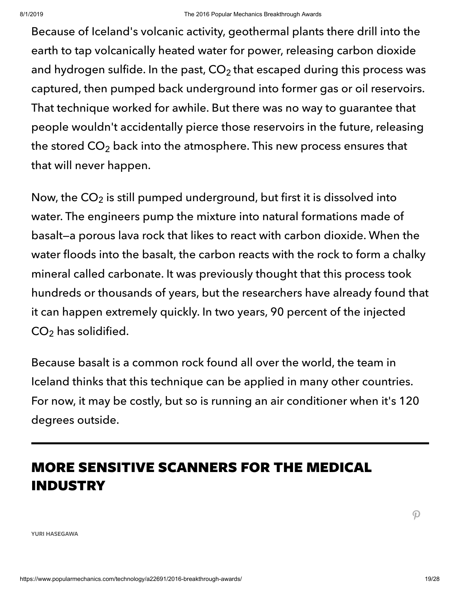Because of Iceland's volcanic activity, geothermal plants there drill into the earth to tap volcanically heated water for power, releasing carbon dioxide and hydrogen sulfide. In the past, CO $_2$  that escaped during this process was captured, then pumped back underground into former gas or oil reservoirs. That technique worked for awhile. But there was no way to guarantee that people wouldn't accidentally pierce those reservoirs in the future, releasing the stored CO $_2$  back into the atmosphere. This new process ensures that that will never happen.

Now, the CO $_2$  is still pumped underground, but first it is dissolved into water. The engineers pump the mixture into natural formations made of basalt—a porous lava rock that likes to react with carbon dioxide. When the water floods into the basalt, the carbon reacts with the rock to form a chalky mineral called carbonate. It was previously thought that this process took hundreds or thousands of years, but the researchers have already found that it can happen extremely quickly. In two years, 90 percent of the injected  $\mathsf{CO}_2$  has solidified.

Because basalt is a common rock found all over the world, the team in Iceland thinks that this technique can be applied in many other countries. For now, it may be costly, but so is running an air conditioner when it's 120 degrees outside.

# MORE SENSITIVE SCANNERS FOR THE MEDICAL INDUSTRY

 $\boldsymbol{\mathcal{P}}$ 

**YURI HASEGAWA**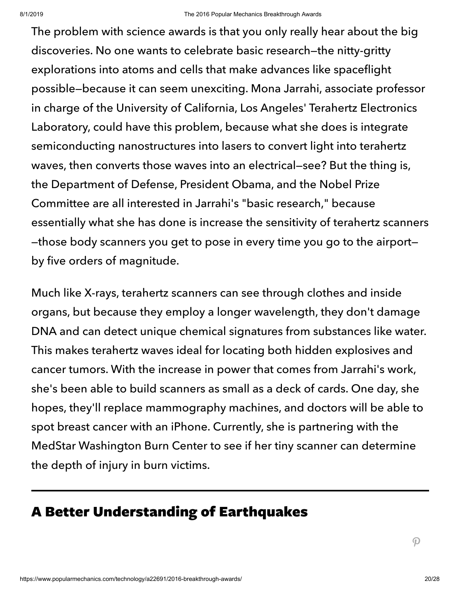The problem with science awards is that you only really hear about the big discoveries. No one wants to celebrate basic research—the nitty-gritty explorations into atoms and cells that make advances like spaceflight possible—because it can seem unexciting. Mona Jarrahi, associate professor in charge of the University of California, Los Angeles' Terahertz Electronics Laboratory, could have this problem, because what she does is integrate semiconducting nanostructures into lasers to convert light into terahertz waves, then converts those waves into an electrical—see? But the thing is, the Department of Defense, President Obama, and the Nobel Prize Committee are all interested in Jarrahi's "basic research," because essentially what she has done is increase the sensitivity of terahertz scanners —those body scanners you get to pose in every time you go to the airport by five orders of magnitude.

Much like X-rays, terahertz scanners can see through clothes and inside organs, but because they employ a longer wavelength, they don't damage DNA and can detect unique chemical signatures from substances like water. This makes terahertz waves ideal for locating both hidden explosives and cancer tumors. With the increase in power that comes from Jarrahi's work, she's been able to build scanners as small as a deck of cards. One day, she hopes, they'll replace mammography machines, and doctors will be able to spot breast cancer with an iPhone. Currently, she is partnering with the MedStar Washington Burn Center to see if her tiny scanner can determine the depth of injury in burn victims.

# A Better Understanding of Earthquakes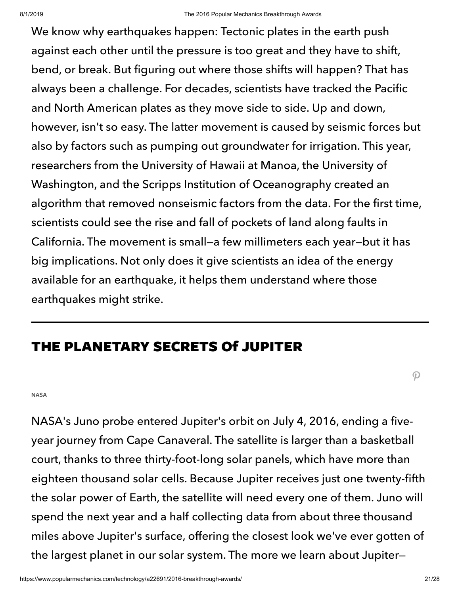We know why earthquakes happen: Tectonic plates in the earth push against each other until the pressure is too great and they have to shift, bend, or break. But figuring out where those shifts will happen? That has always been a challenge. For decades, scientists have tracked the Pacific and North American plates as they move side to side. Up and down, however, isn't so easy. The latter movement is caused by seismic forces but also by factors such as pumping out groundwater for irrigation. This year, researchers from the University of Hawaii at Manoa, the University of Washington, and the Scripps Institution of Oceanography created an algorithm that removed nonseismic factors from the data. For the first time, scientists could see the rise and fall of pockets of land along faults in California. The movement is small—a few millimeters each year—but it has big implications. Not only does it give scientists an idea of the energy available for an earthquake, it helps them understand where those earthquakes might strike.

# THE PLANETARY SECRETS Of JUPITER

**NASA**

NASA's Juno probe entered Jupiter's orbit on July 4, 2016, ending a fiveyear journey from Cape Canaveral. The satellite is larger than a basketball court, thanks to three thirty-foot-long solar panels, which have more than eighteen thousand solar cells. Because Jupiter receives just one twenty-fifth the solar power of Earth, the satellite will need every one of them. Juno will spend the next year and a half collecting data from about three thousand miles above Jupiter's surface, offering the closest look we've ever gotten of the largest planet in our solar system. The more we learn about Jupiter—

 $\boldsymbol{\mathcal{P}}$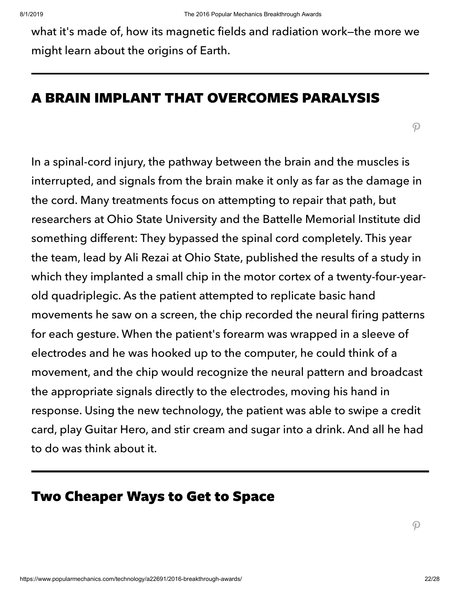what it's made of, how its magnetic fields and radiation work—the more we might learn about the origins of Earth.

### A BRAIN IMPLANT THAT OVERCOMES PARALYSIS

 $\boldsymbol{\mathcal{P}}$ 

In a spinal-cord injury, the pathway between the brain and the muscles is interrupted, and signals from the brain make it only as far as the damage in the cord. Many treatments focus on attempting to repair that path, but researchers at Ohio State University and the Battelle Memorial Institute did something different: They bypassed the spinal cord completely. This year the team, lead by Ali Rezai at Ohio State, published the results of a study in which they implanted a small chip in the motor cortex of a twenty-four-yearold quadriplegic. As the patient attempted to replicate basic hand movements he saw on a screen, the chip recorded the neural firing patterns for each gesture. When the patient's forearm was wrapped in a sleeve of electrodes and he was hooked up to the computer, he could think of a movement, and the chip would recognize the neural pattern and broadcast the appropriate signals directly to the electrodes, moving his hand in response. Using the new technology, the patient was able to swipe a credit card, play Guitar Hero, and stir cream and sugar into a drink. And all he had to do was think about it.

# Two Cheaper Ways to Get to Space

 $\boldsymbol{\mathcal{P}}$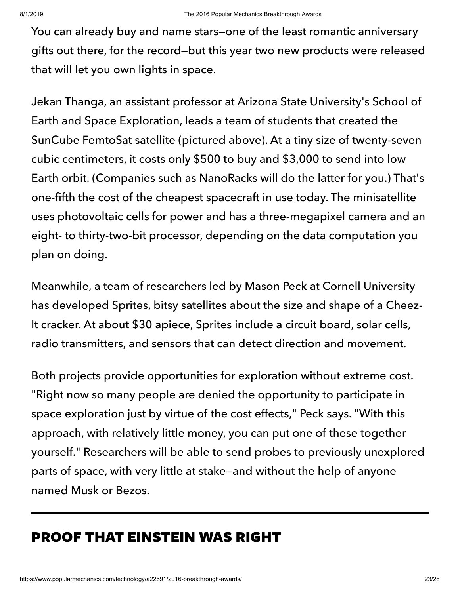You can already buy and name stars—one of the least romantic anniversary gifts out there, for the record—but this year two new products were released that will let you own lights in space.

Jekan Thanga, an assistant professor at Arizona State University's School of Earth and Space Exploration, leads a team of students that created the SunCube FemtoSat satellite (pictured above). At a tiny size of twenty-seven cubic centimeters, it costs only \$500 to buy and \$3,000 to send into low Earth orbit. (Companies such as NanoRacks will do the latter for you.) That's one-fifth the cost of the cheapest spacecraft in use today. The minisatellite uses photovoltaic cells for power and has a three-megapixel camera and an eight- to thirty-two-bit processor, depending on the data computation you plan on doing.

Meanwhile, a team of researchers led by Mason Peck at Cornell University has developed Sprites, bitsy satellites about the size and shape of a Cheez-It cracker. At about \$30 apiece, Sprites include a circuit board, solar cells, radio transmitters, and sensors that can detect direction and movement.

Both projects provide opportunities for exploration without extreme cost. "Right now so many people are denied the opportunity to participate in space exploration just by virtue of the cost effects," Peck says. "With this approach, with relatively little money, you can put one of these together yourself." Researchers will be able to send probes to previously unexplored parts of space, with very little at stake—and without the help of anyone named Musk or Bezos.

# PROOF THAT EINSTEIN WAS RIGHT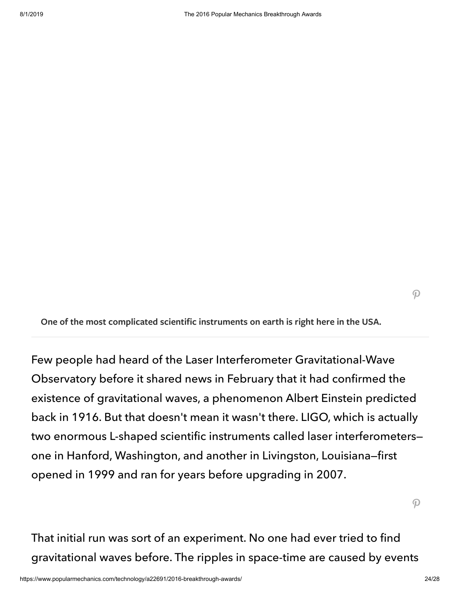$\mathcal{P}$ 

**One of the most complicated scientific instruments on earth is right here in the USA.**

Few people had heard of the Laser Interferometer Gravitational-Wave Observatory before it shared news in February that it had confirmed the existence of gravitational waves, a phenomenon Albert Einstein predicted back in 1916. But that doesn't mean it wasn't there. LIGO, which is actually two enormous L-shaped scientific instruments called laser interferometers one in Hanford, Washington, and another in Livingston, Louisiana—first opened in 1999 and ran for years before upgrading in 2007.

 $\mathcal{P}$ 

That initial run was sort of an experiment. No one had ever tried to find gravitational waves before. The ripples in space-time are caused by events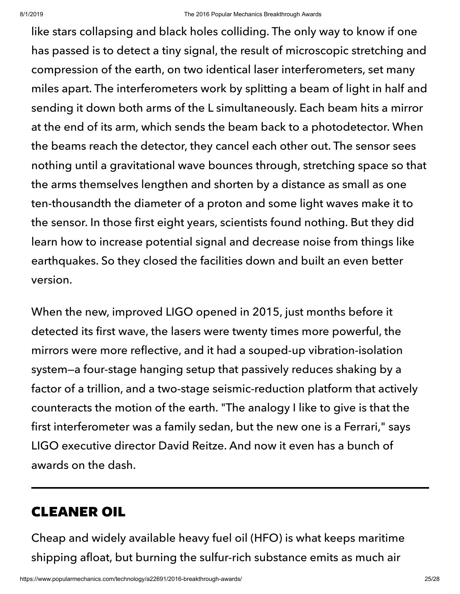like stars collapsing and black holes colliding. The only way to know if one has passed is to detect a tiny signal, the result of microscopic stretching and compression of the earth, on two identical laser interferometers, set many miles apart. The interferometers work by splitting a beam of light in half and sending it down both arms of the L simultaneously. Each beam hits a mirror at the end of its arm, which sends the beam back to a photodetector. When the beams reach the detector, they cancel each other out. The sensor sees nothing until a gravitational wave bounces through, stretching space so that the arms themselves lengthen and shorten by a distance as small as one ten-thousandth the diameter of a proton and some light waves make it to the sensor. In those first eight years, scientists found nothing. But they did learn how to increase potential signal and decrease noise from things like earthquakes. So they closed the facilities down and built an even better version.

When the new, improved LIGO opened in 2015, just months before it detected its first wave, the lasers were twenty times more powerful, the mirrors were more reflective, and it had a souped-up vibration-isolation system—a four-stage hanging setup that passively reduces shaking by a factor of a trillion, and a two-stage seismic-reduction platform that actively counteracts the motion of the earth. "The analogy I like to give is that the first interferometer was a family sedan, but the new one is a Ferrari," says LIGO executive director David Reitze. And now it even has a bunch of awards on the dash.

# CLEANER OIL

Cheap and widely available heavy fuel oil (HFO) is what keeps maritime shipping afloat, but burning the sulfur-rich substance emits as much air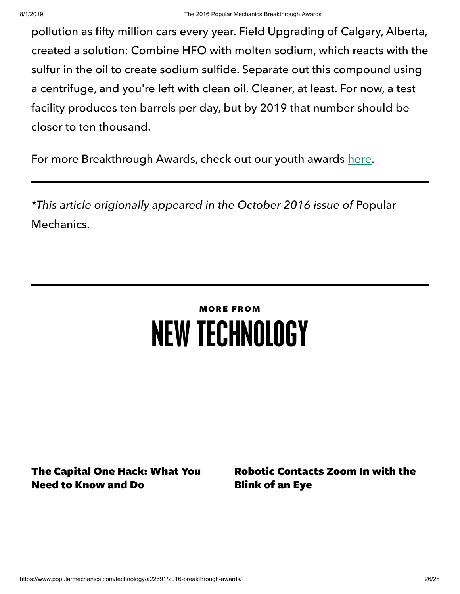pollution as fifty million cars every year. Field Upgrading of Calgary, Alberta, created a solution: Combine HFO with molten sodium, which reacts with the sulfur in the oil to create sodium sulfide. Separate out this compound using a centrifuge, and you're left with clean oil. Cleaner, at least. For now, a test facility produces ten barrels per day, but by 2019 that number should be closer to ten thousand.

For more Breakthrough Awards, check out our youth awards [here.](https://www.popularmechanics.com/technology/a22404/youth-breakthrough-awards/)

\*This article origionally appeared in the October 2016 issue of Popular Mechanics.

# MORE FROM NEW [TECHNOLOGY](https://www.popularmechanics.com/technology/)

The [Capital](https://www.popularmechanics.com/technology/security/a28554436/capital-one-hack-risks-protection-tips/) One Hack: What You Need to Know and Do

Robotic [Contacts](https://www.popularmechanics.com/technology/a28538364/robotic-contact-lens/) Zoom In with the Blink of an Eye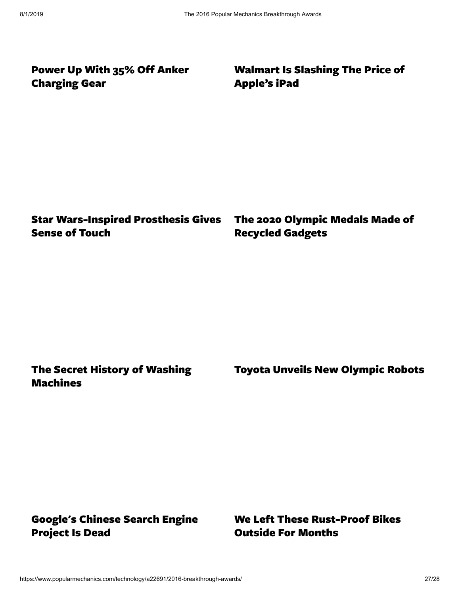Power Up With 35% Off Anker [Charging](https://www.popularmechanics.com/technology/a26651734/anker-charging-gear-amazon-sale/) Gear

[Walmart](https://www.popularmechanics.com/technology/gadgets/a28523232/walmart-apple-ipad-deal-sale/) Is Slashing The Price of Apple's iPad

Star [Wars-Inspired](https://www.popularmechanics.com/technology/a28519122/star-wars-robotic-arm-amputees/) Prosthesis Gives Sense of Touch

The 2020 Olympic Medals Made of [Recycled](https://www.popularmechanics.com/technology/gear/a28509493/tokyo-2020-olympic-medals-recycled-gadgets/) Gadgets

The Secret History of Washing [Machines](https://www.popularmechanics.com/technology/design/g28510912/history-of-washing-machines/)

Toyota Unveils New [Olympic](https://www.popularmechanics.com/technology/robots/a28483535/2020-tokyo-olympics-robots/) Robots

[Google's](https://www.popularmechanics.com/technology/a28434395/project-dragonfly-dead/) Chinese Search Engine Project Is Dead

We Left These [Rust-Proof](https://www.popularmechanics.com/technology/gear/a28400421/rust-proof-bike/) Bikes Outside For Months